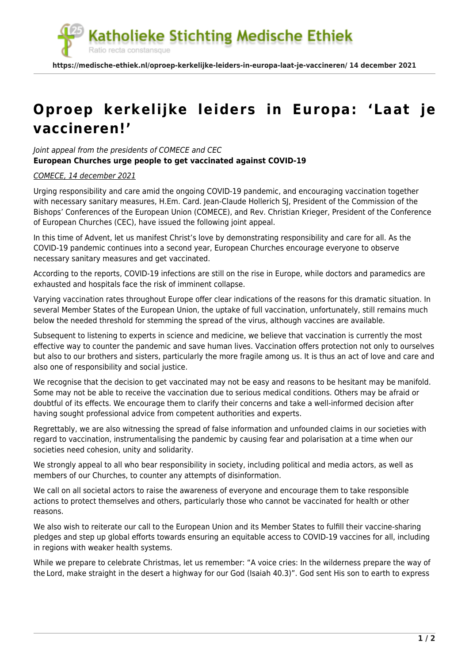atholieke Stichting Medische Ethiek

**https://medische-ethiek.nl/oproep-kerkelijke-leiders-in-europa-laat-je-vaccineren/ 14 december 2021**

## **[Oproep kerkelijke leiders in Europa: 'Laat je](https://medische-ethiek.nl/oproep-kerkelijke-leiders-in-europa-laat-je-vaccineren/) [vaccineren!'](https://medische-ethiek.nl/oproep-kerkelijke-leiders-in-europa-laat-je-vaccineren/)**

Joint appeal from the presidents of COMECE and CEC **European Churches urge people to get vaccinated against COVID-19**

Ratio recta constansque

## [COMECE, 14 december 2021](https://web.archive.org/web/20211214182844/http://www.comece.eu/join-appeal-european-churches-urge-people-to-get-vaccinated-against-covid-19)

Urging responsibility and care amid the ongoing COVID-19 pandemic, and encouraging vaccination together with necessary sanitary measures, H.Em. Card. Jean-Claude Hollerich SJ, President of the Commission of the Bishops' Conferences of the European Union (COMECE), and Rev. Christian Krieger, President of the Conference of European Churches (CEC), have issued the following joint appeal.

In this time of Advent, let us manifest Christ's love by demonstrating responsibility and care for all. As the COVID-19 pandemic continues into a second year, European Churches encourage everyone to observe necessary sanitary measures and get vaccinated.

According to the reports, COVID-19 infections are still on the rise in Europe, while doctors and paramedics are exhausted and hospitals face the risk of imminent collapse.

Varying vaccination rates throughout Europe offer clear indications of the reasons for this dramatic situation. In several Member States of the European Union, the uptake of full vaccination, unfortunately, still remains much below the needed threshold for stemming the spread of the virus, although vaccines are available.

Subsequent to listening to experts in science and medicine, we believe that vaccination is currently the most effective way to counter the pandemic and save human lives. Vaccination offers protection not only to ourselves but also to our brothers and sisters, particularly the more fragile among us. It is thus an act of love and care and also one of responsibility and social justice.

We recognise that the decision to get vaccinated may not be easy and reasons to be hesitant may be manifold. Some may not be able to receive the vaccination due to serious medical conditions. Others may be afraid or doubtful of its effects. We encourage them to clarify their concerns and take a well-informed decision after having sought professional advice from competent authorities and experts.

Regrettably, we are also witnessing the spread of false information and unfounded claims in our societies with regard to vaccination, instrumentalising the pandemic by causing fear and polarisation at a time when our societies need cohesion, unity and solidarity.

We strongly appeal to all who bear responsibility in society, including political and media actors, as well as members of our Churches, to counter any attempts of disinformation.

We call on all societal actors to raise the awareness of everyone and encourage them to take responsible actions to protect themselves and others, particularly those who cannot be vaccinated for health or other reasons.

We also wish to reiterate our call to the European Union and its Member States to fulfill their vaccine-sharing pledges and step up global efforts towards ensuring an equitable access to COVID-19 vaccines for all, including in regions with weaker health systems.

While we prepare to celebrate Christmas, let us remember: "A voice cries: In the wilderness prepare the way of the Lord, make straight in the desert a highway for our God (Isaiah 40.3)". God sent His son to earth to express